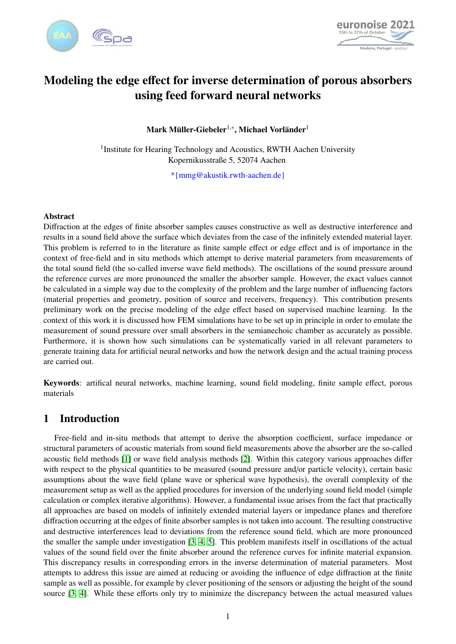



# Modeling the edge effect for inverse determination of porous absorbers using feed forward neural networks

Mark Müller-Giebeler $^{1,\ast},$  Michael Vorländer $^1$ 

<sup>1</sup> Institute for Hearing Technology and Acoustics, RWTH Aachen University Kopernikusstraße 5, 52074 Aachen

\*{mmg@akustik.rwth-aachen.de}

#### Abstract

Diffraction at the edges of finite absorber samples causes constructive as well as destructive interference and results in a sound field above the surface which deviates from the case of the infinitely extended material layer. This problem is referred to in the literature as finite sample effect or edge effect and is of importance in the context of free-field and in situ methods which attempt to derive material parameters from measurements of the total sound field (the so-called inverse wave field methods). The oscillations of the sound pressure around the reference curves are more pronounced the smaller the absorber sample. However, the exact values cannot be calculated in a simple way due to the complexity of the problem and the large number of influencing factors (material properties and geometry, position of source and receivers, frequency). This contribution presents preliminary work on the precise modeling of the edge effect based on supervised machine learning. In the context of this work it is discussed how FEM simulations have to be set up in principle in order to emulate the measurement of sound pressure over small absorbers in the semianechoic chamber as accurately as possible. Furthermore, it is shown how such simulations can be systematically varied in all relevant parameters to generate training data for artificial neural networks and how the network design and the actual training process are carried out.

Keywords: artifical neural networks, machine learning, sound field modeling, finite sample effect, porous materials

### 1 Introduction

Free-field and in-situ methods that attempt to derive the absorption coefficient, surface impedance or structural parameters of acoustic materials from sound field measurements above the absorber are the so-called acoustic field methods [\[1\]](#page-10-0) or wave field analysis methods [\[2\]](#page-10-1). Within this category various approaches differ with respect to the physical quantities to be measured (sound pressure and/or particle velocity), certain basic assumptions about the wave field (plane wave or spherical wave hypothesis), the overall complexity of the measurement setup as well as the applied procedures for inversion of the underlying sound field model (simple calculation or complex iterative algorithms). However, a fundamental issue arises from the fact that practically all approaches are based on models of infinitely extended material layers or impedance planes and therefore diffraction occurring at the edges of finite absorber samples is not taken into account. The resulting constructive and destructive interferences lead to deviations from the reference sound field, which are more pronounced the smaller the sample under investigation [\[3,](#page-10-2) [4,](#page-10-3) [5\]](#page-10-4). This problem manifests itself in oscillations of the actual values of the sound field over the finite absorber around the reference curves for infinite material expansion. This discrepancy results in corresponding errors in the inverse determination of material parameters. Most attempts to address this issue are aimed at reducing or avoiding the influence of edge diffraction at the finite sample as well as possible, for example by clever positioning of the sensors or adjusting the height of the sound source [\[3,](#page-10-2) [4\]](#page-10-3). While these efforts only try to minimize the discrepancy between the actual measured values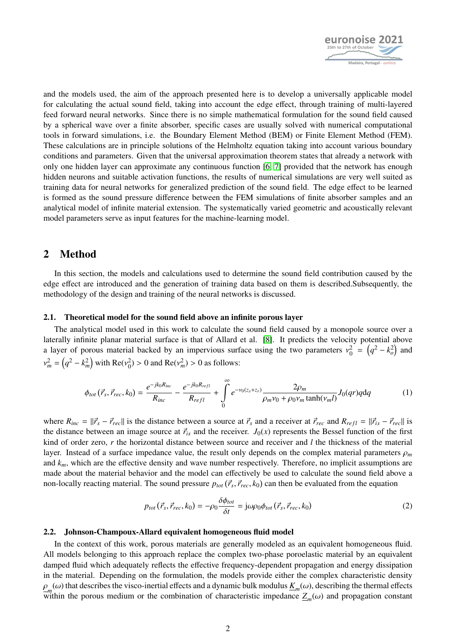

and the models used, the aim of the approach presented here is to develop a universally applicable model for calculating the actual sound field, taking into account the edge effect, through training of multi-layered feed forward neural networks. Since there is no simple mathematical formulation for the sound field caused by a spherical wave over a finite absorber, specific cases are usually solved with numerical computational tools in forward simulations, i.e. the Boundary Element Method (BEM) or Finite Element Method (FEM). These calculations are in principle solutions of the Helmholtz equation taking into account various boundary conditions and parameters. Given that the universal approximation theorem states that already a network with only one hidden layer can approximate any continuous function [\[6,](#page-10-5) [7\]](#page-10-6) provided that the network has enough hidden neurons and suitable activation functions, the results of numerical simulations are very well suited as training data for neural networks for generalized prediction of the sound field. The edge effect to be learned is formed as the sound pressure difference between the FEM simulations of finite absorber samples and an analytical model of infinite material extension. The systematically varied geometric and acoustically relevant model parameters serve as input features for the machine-learning model.

### 2 Method

In this section, the models and calculations used to determine the sound field contribution caused by the edge effect are introduced and the generation of training data based on them is described.Subsequently, the methodology of the design and training of the neural networks is discussed.

#### 2.1. Theoretical model for the sound field above an infinite porous layer

The analytical model used in this work to calculate the sound field caused by a monopole source over a laterally infinite planar material surface is that of Allard et al. [\[8\]](#page-10-7). It predicts the velocity potential above a layer of porous material backed by an impervious surface using the two parameters  $v_0^2 = (q^2 - k_o^2)$  and  $(2, 1, 2)$  is  $R_0$  (2)  $(2, 2)$  and  $(3, 2)$  $\Omega_m^2 = (q^2 - k_m^2)$  with  $\text{Re}(v_0^2) > 0$  and  $\text{Re}(v_m^2) > 0$  as follows:

$$
\phi_{tot}(\vec{r}_s, \vec{r}_{rec}, k_0) = \frac{e^{-jk_0 R_{inc}}}{R_{inc}} - \frac{e^{-jk_0 R_{refl}}}{R_{refl}} + \int_0^\infty e^{-\nu_0(z_s + z_r)} \frac{2\rho_m}{\rho_m \nu_0 + \rho_0 \nu_m \tanh(\nu_m l)} J_0(qr) q dq \tag{1}
$$

where  $R_{inc} = ||\vec{r}_s - \vec{r}_{rec}||$  is the distance between a source at  $\vec{r}_s$  and a receiver at  $\vec{r}_{rec}$  and  $R_{refl} = ||\vec{r}_{is} - \vec{r}_{rec}||$  is the distance between an image source at  $\vec{r}_{is}$  and the receiver.  $J_0(x)$  represents the Bessel function of the first kind of order zero, *r* the horizontal distance between source and receiver and *l* the thickness of the material layer. Instead of a surface impedance value, the result only depends on the complex material parameters <sup>ρ</sup>*<sup>m</sup>* and  $k_m$ , which are the effective density and wave number respectively. Therefore, no implicit assumptions are made about the material behavior and the model can effectively be used to calculate the sound field above a non-locally reacting material. The sound pressure  $p_{tot}(\vec{r}_s, \vec{r}_{rec}, k_0)$  can then be evaluated from the equation

$$
p_{tot}(\vec{r}_s, \vec{r}_{rec}, k_0) = -\rho_0 \frac{\delta \phi_{tot}}{\delta t} = j\omega \rho_0 \phi_{tot}(\vec{r}_s, \vec{r}_{rec}, k_0)
$$
 (2)

#### 2.2. Johnson-Champoux-Allard equivalent homogeneous fluid model

In the context of this work, porous materials are generally modeled as an equivalent homogeneous fluid. All models belonging to this approach replace the complex two-phase poroelastic material by an equivalent damped fluid which adequately reflects the effective frequency-dependent propagation and energy dissipation in the material. Depending on the formulation, the models provide either the complex characteristic density  $L_m(\omega)$  and accretive are three intensity to the  $\omega$  *s*<sub>*p*</sub> mannel characteristic impedance  $Z_m(\omega)$  and propagation constant within the porous medium or the combination of characteristic impedance  $Z_m(\omega)$  and propagati  $m$ <sup>(ω)</sup> that describes the visco-inertial effects and a dynamic bulk modulus  $K_m$ (ω), describing the thermal effects  $\ddot{x}$ <sup>*n*</sup>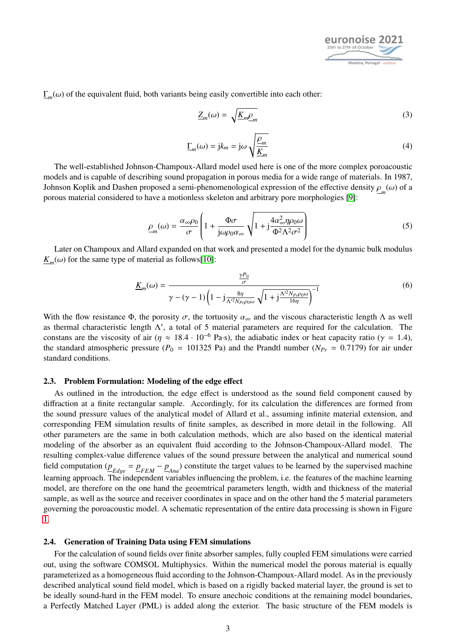

 $\Gamma_m(\omega)$  of the equivalent fluid, both variants being easily convertible into each other:

$$
\underline{Z}_m(\omega) = \sqrt{\underline{K}_m \underline{\rho}_m} \tag{3}
$$

$$
\underline{\Gamma}_m(\omega) = j k_m = j \omega \sqrt{\frac{\rho_m}{\underline{K}_m}}
$$
\n(4)

The well-established Johnson-Champoux-Allard model used here is one of the more complex poroacoustic models and is capable of describing sound propagation in porous media for a wide range of materials. In 1987, Johnson Koplik and Dashen proposed a semi-phenomenological expression of the effective density  $\rho_m(\omega)$  of a proposed to have a motionless skeleton and arbitrary pore morphologies [9]. porous material considered to have a motionless skeleton and arbitrary pore morphologies [\[9\]](#page-10-8):

$$
\underline{\rho}_m(\omega) = \frac{\alpha_{\infty}\rho_0}{\sigma} \left( 1 + \frac{\Phi\sigma}{j\omega\rho_0\alpha_{\infty}} \sqrt{1 + j\frac{4\alpha_{\infty}^2 \eta\rho_0\omega}{\Phi^2\Lambda^2 \sigma^2}} \right) \tag{5}
$$

Later on Champoux and Allard expanded on that work and presented a model for the dynamic bulk modulus  $K_m(\omega)$  for the same type of material as follows[\[10\]](#page-10-9):

$$
\underline{K}_{m}(\omega) = \frac{\frac{\gamma P_{0}}{\sigma}}{\gamma - (\gamma - 1)\left(1 - j\frac{8\eta}{\Lambda'^{2}N_{Pr}\rho_{0}\omega}\sqrt{1 + j\frac{\Lambda'^{2}N_{Pr}\rho_{0}\omega}{16\eta}}\right)^{-1}}
$$
(6)

With the flow resistance Φ, the porosity  $\sigma$ , the tortuosity  $\alpha_{\infty}$  and the viscous characteristic length  $\Lambda$  as well as thermal characteristic length  $\Lambda'$ , a total of 5 material parameters are required for the calculation. The constans are the viscosity of air ( $\eta \approx 18.4 \cdot 10^{-6}$  Pa·s), the adiabatic index or heat capacity ratio ( $\gamma = 1.4$ ), the standard atmospheric pressure ( $P_0 = 101325$  Pa) and the Prandtl number ( $N_{Pr} = 0.7179$ ) for air under standard conditions.

#### 2.3. Problem Formulation: Modeling of the edge effect

As outlined in the introduction, the edge effect is understood as the sound field component caused by diffraction at a finite rectangular sample. Accordingly, for its calculation the differences are formed from the sound pressure values of the analytical model of Allard et al., assuming infinite material extension, and corresponding FEM simulation results of finite samples, as described in more detail in the following. All other parameters are the same in both calculation methods, which are also based on the identical material modeling of the absorber as an equivalent fluid according to the Johnson-Champoux-Allard model. The resulting complex-value difference values of the sound pressure between the analytical and numerical sound field computation  $(\underline{p}_{Edge} = \underline{p}_{FEM} - \underline{p}_{Ana})$  constitute the target values to be learned by the supervised machine learning approach. The independent variables influencing the problem, i.e. the features of the machine learning model, are therefore on the one hand the geoemtrical parameters length, width and thickness of the material sample, as well as the source and receiver coordinates in space and on the other hand the 5 material parameters governing the poroacoustic model. A schematic representation of the entire data processing is shown in Figure [1.](#page-3-0)

#### 2.4. Generation of Training Data using FEM simulations

For the calculation of sound fields over finite absorber samples, fully coupled FEM simulations were carried out, using the software COMSOL Multiphysics. Within the numerical model the porous material is equally parameterized as a homogeneous fluid according to the Johnson-Champoux-Allard model. As in the previously described analytical sound field model, which is based on a rigidly backed material layer, the ground is set to be ideally sound-hard in the FEM model. To ensure anechoic conditions at the remaining model boundaries, a Perfectly Matched Layer (PML) is added along the exterior. The basic structure of the FEM models is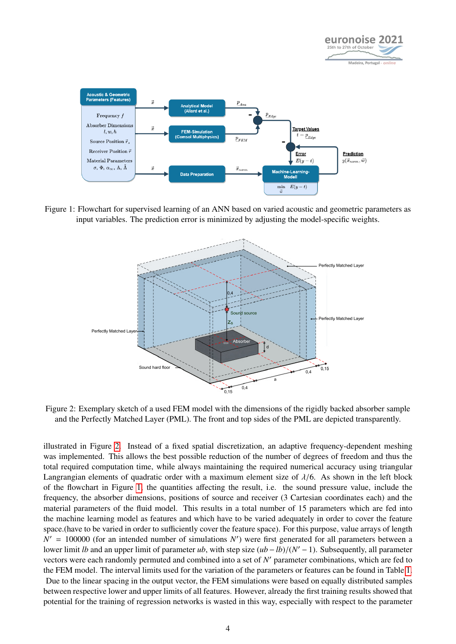

<span id="page-3-0"></span>

<span id="page-3-1"></span>Figure 1: Flowchart for supervised learning of an ANN based on varied acoustic and geometric parameters as input variables. The prediction error is minimized by adjusting the model-specific weights.



Figure 2: Exemplary sketch of a used FEM model with the dimensions of the rigidly backed absorber sample and the Perfectly Matched Layer (PML). The front and top sides of the PML are depicted transparently.

illustrated in Figure [2.](#page-3-1) Instead of a fixed spatial discretization, an adaptive frequency-dependent meshing was implemented. This allows the best possible reduction of the number of degrees of freedom and thus the total required computation time, while always maintaining the required numerical accuracy using triangular Langrangian elements of quadratic order with a maximum element size of  $\lambda/6$ . As shown in the left block of the flowchart in Figure [1,](#page-3-0) the quantities affecting the result, i.e. the sound pressure value, include the frequency, the absorber dimensions, positions of source and receiver (3 Cartesian coordinates each) and the material parameters of the fluid model. This results in a total number of 15 parameters which are fed into the machine learning model as features and which have to be varied adequately in order to cover the feature space.(have to be varied in order to sufficiently cover the feature space). For this purpose, value arrays of length  $N' = 100000$  (for an intended number of simulations  $N'$ ) were first generated for all parameters between a lower limit *lb* and an upper limit of parameter *ub*, with step size  $(ub - lb)/(N' - 1)$ . Subsequently, all parameter vectors were each randomly permuted and combined into a set of  $N'$  parameter combinations, which are fed to vectors were each randomly permuted and combined into a set of N' parameter combinations, which are fed to the FEM model. The interval limits used for the variation of the parameters or features can be found in Table [1.](#page-4-0)

Due to the linear spacing in the output vector, the FEM simulations were based on equally distributed samples between respective lower and upper limits of all features. However, already the first training results showed that potential for the training of regression networks is wasted in this way, especially with respect to the parameter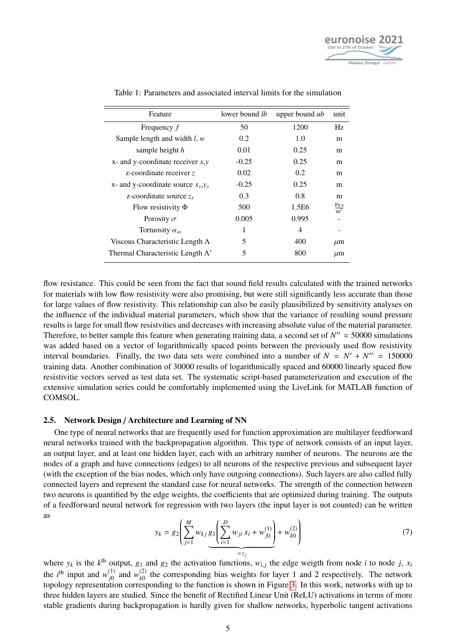

<span id="page-4-0"></span>

| Feature                                  | lower bound lb | upper bound ub | unit                             |
|------------------------------------------|----------------|----------------|----------------------------------|
| Frequency f                              | 50             | 1200           | Hz                               |
| Sample length and width $l, w$           | 0.2            | 1.0            | m                                |
| sample height $h$                        | 0.01           | 0.25           | m                                |
| $x$ - and y-coordinate receiver $x, y$   | $-0.25$        | 0.25           | m                                |
| z-coordinate receiver z                  | 0.02           | 0.2            | m                                |
| x- and y-coordinate source $x_s, y_s$    | $-0.25$        | 0.25           | m                                |
| z-coordinate source $z_s$                | 0.3            | 0.8            | m                                |
| Flow resistivity $\Phi$                  | 500            | 1.5E6          | $\frac{\text{Pa s}}{\text{m}^2}$ |
| Porosity $\sigma$                        | 0.005          | 0.995          |                                  |
| Tortuosity $\alpha_{\infty}$             | 1              | 4              |                                  |
| Viscous Characteristic Length $\Lambda$  | 5              | 400            | $\mu$ m                          |
| Thermal Characteristic Length $\Lambda'$ | 5              | 800            | $\mu$ m                          |

Table 1: Parameters and associated interval limits for the simulation

flow resistance. This could be seen from the fact that sound field results calculated with the trained networks for materials with low flow resistivity were also promising, but were still significantly less accurate than those for large values of flow resistivity. This relationship can also be easily plausibilized by sensitivity analyses on the influence of the individual material parameters, which show that the variance of resulting sound pressure results is large for small flow resistvities and decreases with increasing absolute value of the material parameter. Therefore, to better sample this feature when generating training data, a second set of  $N'' = 50000$  simulations was added based on a vector of logarithmically spaced points between the previously used flow resistivity interval boundaries. Finally, the two data sets were combined into a number of  $N = N' + N'' = 150000$ training data. Another combination of 30000 results of logarithmically spaced and 60000 linearly spaced flow resistivitie vectors served as test data set. The systematic script-based parameterization and execution of the extensive simulation series could be comfortably implemented using the LiveLink for MATLAB function of COMSOL.

#### 2.5. Network Design / Architecture and Learning of NN

One type of neural networks that are frequently used for function approximation are multilayer feedforward neural networks trained with the backpropagation algorithm. This type of network consists of an input layer, an output layer, and at least one hidden layer, each with an arbitrary number of neurons. The neurons are the nodes of a graph and have connections (edges) to all neurons of the respective previous and subsequent layer (with the exception of the bias nodes, which only have outgoing connections). Such layers are also called fully connected layers and represent the standard case for neural networks. The strength of the connection between two neurons is quantified by the edge weights, the coefficients that are optimized during training. The outputs of a feedforward neural network for regression with two layers (the input layer is not counted) can be written as

$$
y_k = g_2 \left( \sum_{j=1}^M w_{kj} \underbrace{g_1 \left( \sum_{i=1}^D w_{ji} x_i + w_{j0}^{(1)} \right)}_{=z_j} + w_{k0}^{(2)} \right)
$$
(7)

where  $y_k$  is the  $k^{\text{th}}$  output,  $g_1$  and  $g_2$  the activation functions,  $w_{i,j}$  the edge weigth from node *i* to node *j*,  $x_i$ <sup>*i*</sup>,  $y_i$ <sup>*i*</sup>,  $y_i$ <sup>*i*</sup>,  $y_i$ <sup>*i*</sup>,  $y_i$ <sup>*i*</sup>,  $y_i$ <sup>*i*</sup>,  $y_i$ <sup>*i*</sup>,  $y_i$ <sup>*i*</sup>,  $y_i$ the *i*<sup>th</sup> input and  $w_{i0}^{(1)}$  $\chi_{j0}^{(1)}$  and  $w_{k0}^{(2)}$  $\frac{f^{(2)}}{k_0}$  the corresponding bias weights for layer 1 and 2 respectively. The network topology representation corresponding to the function is shown in Figure [3.](#page-5-0) In this work, networks with up to three hidden layers are studied. Since the benefit of Rectified Linear Unit (ReLU) activations in terms of more stable gradients during backpropagation is hardly given for shallow networks, hyperbolic tangent activations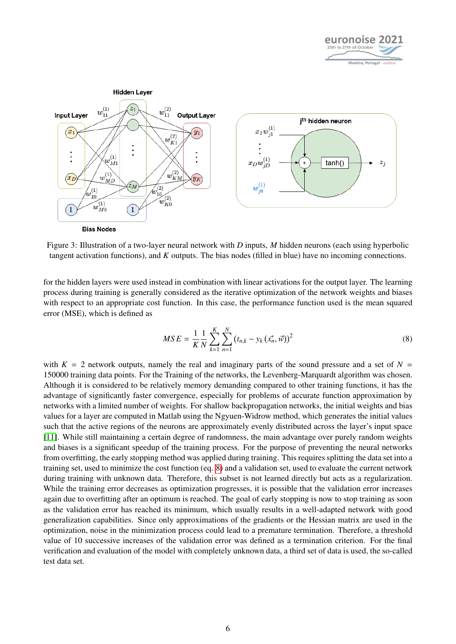

<span id="page-5-0"></span>

Figure 3: Illustration of a two-layer neural network with *D* inputs, *M* hidden neurons (each using hyperbolic tangent activation functions), and *K* outputs. The bias nodes (filled in blue) have no incoming connections.

for the hidden layers were used instead in combination with linear activations for the output layer. The learning process during training is generally considered as the iterative optimization of the network weights and biases with respect to an appropriate cost function. In this case, the performance function used is the mean squared error (MSE), which is defined as

<span id="page-5-1"></span>
$$
MSE = \frac{1}{K} \frac{1}{N} \sum_{k=1}^{K} \sum_{n=1}^{N} (t_{n,k} - y_k(\vec{x_n}, \vec{w}))^2
$$
 (8)

with  $K = 2$  network outputs, namely the real and imaginary parts of the sound pressure and a set of  $N =$ 150000 training data points. For the Training of the networks, the Levenberg-Marquardt algorithm was chosen. Although it is considered to be relatively memory demanding compared to other training functions, it has the advantage of significantly faster convergence, especially for problems of accurate function approximation by networks with a limited number of weights. For shallow backpropagation networks, the initial weights and bias values for a layer are computed in Matlab using the Ngyuen-Widrow method, which generates the initial values such that the active regions of the neurons are approximately evenly distributed across the layer's input space [\[11\]](#page-10-10). While still maintaining a certain degree of randomness, the main advantage over purely random weights and biases is a significant speedup of the training process. For the purpose of preventing the neural networks from overfitting, the early stopping method was applied during training. This requires splitting the data set into a training set, used to minimize the cost function (eq. [8\)](#page-5-1) and a validation set, used to evaluate the current network during training with unknown data. Therefore, this subset is not learned directly but acts as a regularization. While the training error decreases as optimization progresses, it is possible that the validation error increases again due to overfitting after an optimum is reached. The goal of early stopping is now to stop training as soon as the validation error has reached its minimum, which usually results in a well-adapted network with good generalization capabilities. Since only approximations of the gradients or the Hessian matrix are used in the optimization, noise in the minimization process could lead to a premature termination. Therefore, a threshold value of 10 successive increases of the validation error was defined as a termination criterion. For the final verification and evaluation of the model with completely unknown data, a third set of data is used, the so-called test data set.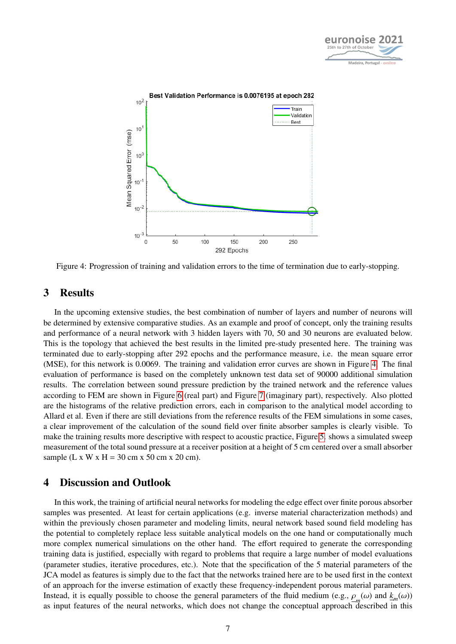

<span id="page-6-0"></span>

Figure 4: Progression of training and validation errors to the time of termination due to early-stopping.

### 3 Results

In the upcoming extensive studies, the best combination of number of layers and number of neurons will be determined by extensive comparative studies. As an example and proof of concept, only the training results and performance of a neural network with 3 hidden layers with 70, 50 and 30 neurons are evaluated below. This is the topology that achieved the best results in the limited pre-study presented here. The training was terminated due to early-stopping after 292 epochs and the performance measure, i.e. the mean square error (MSE), for this network is 0.0069. The training and validation error curves are shown in Figure [4.](#page-6-0) The final evaluation of performance is based on the completely unknown test data set of 90000 additional simulation results. The correlation between sound pressure prediction by the trained network and the reference values according to FEM are shown in Figure [6](#page-8-0) (real part) and Figure [7](#page-9-0) (imaginary part), respectively. Also plotted are the histograms of the relative prediction errors, each in comparison to the analytical model according to Allard et al. Even if there are still deviations from the reference results of the FEM simulations in some cases, a clear improvement of the calculation of the sound field over finite absorber samples is clearly visible. To make the training results more descriptive with respect to acoustic practice, Figure [5.](#page-7-0) shows a simulated sweep measurement of the total sound pressure at a receiver position at a height of 5 cm centered over a small absorber sample (L x W x H = 30 cm x 50 cm x 20 cm).

### 4 Discussion and Outlook

In this work, the training of artificial neural networks for modeling the edge effect over finite porous absorber samples was presented. At least for certain applications (e.g. inverse material characterization methods) and within the previously chosen parameter and modeling limits, neural network based sound field modeling has the potential to completely replace less suitable analytical models on the one hand or computationally much more complex numerical simulations on the other hand. The effort required to generate the corresponding training data is justified, especially with regard to problems that require a large number of model evaluations (parameter studies, iterative procedures, etc.). Note that the specification of the 5 material parameters of the JCA model as features is simply due to the fact that the networks trained here are to be used first in the context of an approach for the inverse estimation of exactly these frequency-independent porous material parameters. Instead, it is equally possible to choose the general parameters of the fluid medium (e.g.,  $\rho_m(\omega)$  and  $\underline{k}_m(\omega)$ )<br>as input features of the neural networks, which does not change the concentual approach described in th as input features of the neural networks, which does not change the conceptual approach described in this approach described in this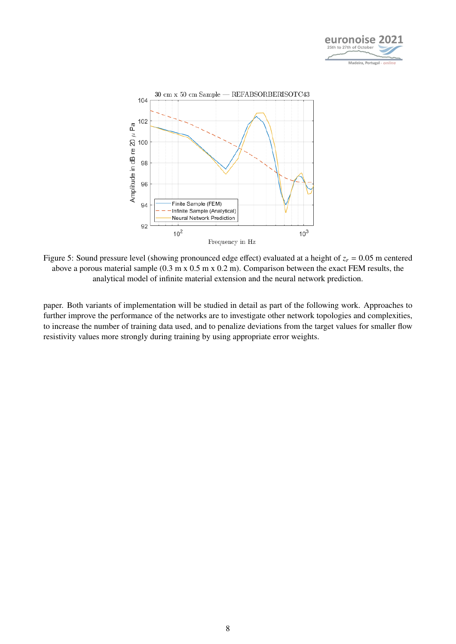

<span id="page-7-0"></span>

Figure 5: Sound pressure level (showing pronounced edge effect) evaluated at a height of  $z_r = 0.05$  m centered above a porous material sample (0.3 m x 0.5 m x 0.2 m). Comparison between the exact FEM results, the analytical model of infinite material extension and the neural network prediction.

paper. Both variants of implementation will be studied in detail as part of the following work. Approaches to further improve the performance of the networks are to investigate other network topologies and complexities, to increase the number of training data used, and to penalize deviations from the target values for smaller flow resistivity values more strongly during training by using appropriate error weights.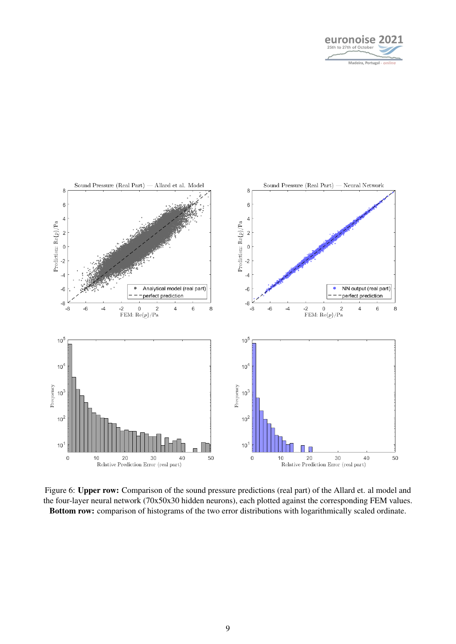

<span id="page-8-0"></span>

Figure 6: Upper row: Comparison of the sound pressure predictions (real part) of the Allard et. al model and the four-layer neural network (70x50x30 hidden neurons), each plotted against the corresponding FEM values. Bottom row: comparison of histograms of the two error distributions with logarithmically scaled ordinate.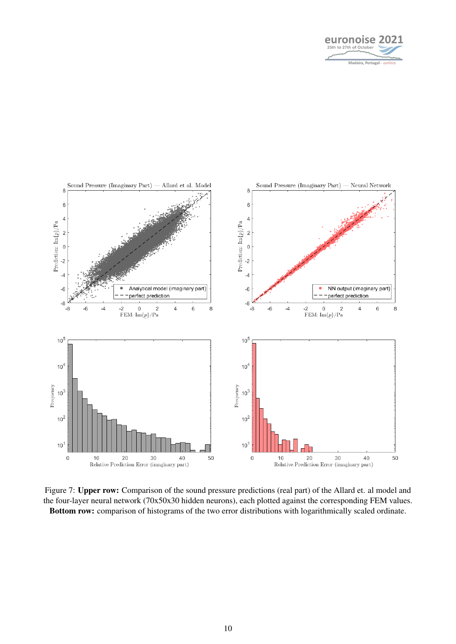

<span id="page-9-0"></span>

Figure 7: Upper row: Comparison of the sound pressure predictions (real part) of the Allard et. al model and the four-layer neural network (70x50x30 hidden neurons), each plotted against the corresponding FEM values. Bottom row: comparison of histograms of the two error distributions with logarithmically scaled ordinate.